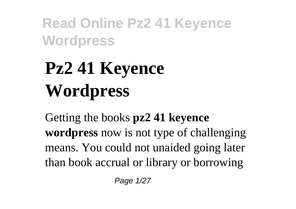# **Pz2 41 Keyence Wordpress**

Getting the books **pz2 41 keyence wordpress** now is not type of challenging means. You could not unaided going later than book accrual or library or borrowing

Page 1/27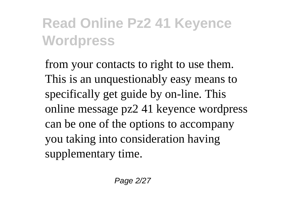from your contacts to right to use them. This is an unquestionably easy means to specifically get guide by on-line. This online message pz2 41 keyence wordpress can be one of the options to accompany you taking into consideration having supplementary time.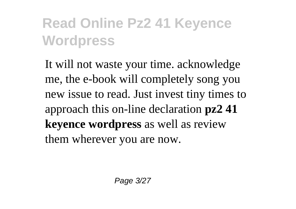It will not waste your time. acknowledge me, the e-book will completely song you new issue to read. Just invest tiny times to approach this on-line declaration **pz2 41 keyence wordpress** as well as review them wherever you are now.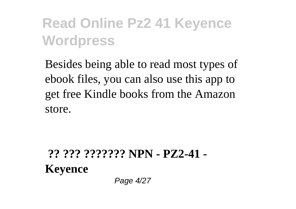Besides being able to read most types of ebook files, you can also use this app to get free Kindle books from the Amazon store.

**?? ??? ??????? NPN - PZ2-41 - Keyence** Page 4/27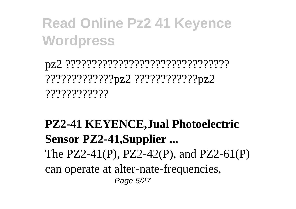pz2 ??????????????????????????????? ?????????????pz2 ????????????pz2 ????????????

#### **PZ2-41 KEYENCE,Jual Photoelectric Sensor PZ2-41,Supplier ...** The PZ2-41(P), PZ2-42(P), and PZ2-61(P) can operate at alter-nate-frequencies, Page 5/27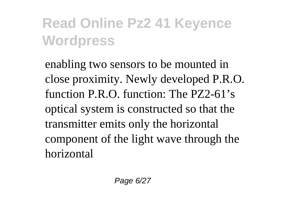enabling two sensors to be mounted in close proximity. Newly developed P.R.O. function P.R.O. function: The PZ2-61's optical system is constructed so that the transmitter emits only the horizontal component of the light wave through the horizontal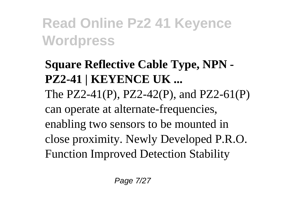#### **Square Reflective Cable Type, NPN - PZ2-41 | KEYENCE UK ...** The PZ2-41(P), PZ2-42(P), and PZ2-61(P) can operate at alternate-frequencies, enabling two sensors to be mounted in close proximity. Newly Developed P.R.O. Function Improved Detection Stability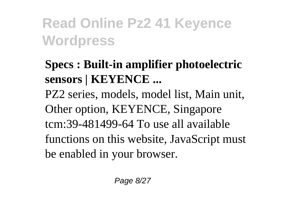#### **Specs : Built-in amplifier photoelectric sensors | KEYENCE ...**

PZ2 series, models, model list, Main unit, Other option, KEYENCE, Singapore tcm:39-481499-64 To use all available functions on this website, JavaScript must be enabled in your browser.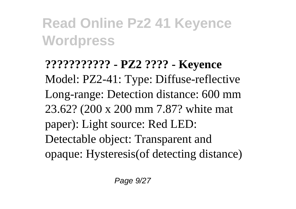**??????????? - PZ2 ???? - Keyence** Model: PZ2-41: Type: Diffuse-reflective Long-range: Detection distance: 600 mm 23.62? (200 x 200 mm 7.87? white mat paper): Light source: Red LED: Detectable object: Transparent and opaque: Hysteresis(of detecting distance)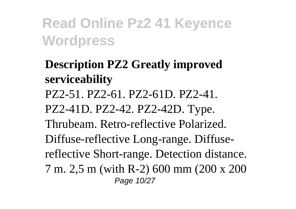**Description PZ2 Greatly improved serviceability** PZ2-51. PZ2-61. PZ2-61D. PZ2-41. PZ2-41D. PZ2-42. PZ2-42D. Type. Thrubeam. Retro-reflective Polarized. Diffuse-reflective Long-range. Diffusereflective Short-range. Detection distance. 7 m. 2,5 m (with R-2) 600 mm (200 x 200 Page 10/27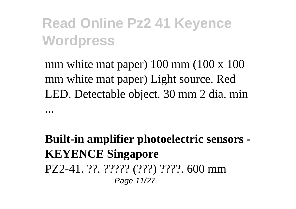mm white mat paper) 100 mm (100 x 100) mm white mat paper) Light source. Red LED. Detectable object. 30 mm 2 dia. min

...

**Built-in amplifier photoelectric sensors - KEYENCE Singapore** PZ2-41. ??. ????? (???) ????. 600 mm Page 11/27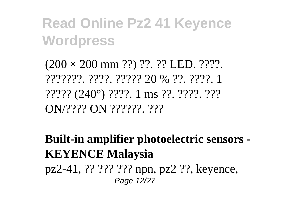$(200 \times 200 \text{ mm} ??) ? ? ? ? ! EED. ? ? ? ?$ ???????. ????. ????? 20 % ??. ????. 1 ????? (240°) ????. 1 ms ??. ????. ??? ON/???? ON ??????. ???

**Built-in amplifier photoelectric sensors - KEYENCE Malaysia** pz2-41, ?? ??? ??? npn, pz2 ??, keyence, Page 12/27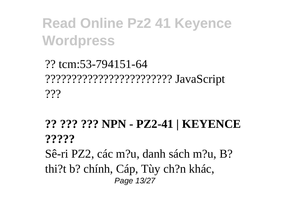?? tcm:53-794151-64 ???????????????????????? JavaScript  $222$ 

#### **?? ??? ??? NPN - PZ2-41 | KEYENCE ?????**

Sê-ri PZ2, các m?u, danh sách m?u, B? thi?t b? chính, Cáp, Tùy ch?n khác, Page 13/27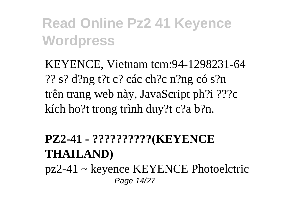KEYENCE, Vietnam tcm:94-1298231-64 ?? s? d?ng t?t c? các ch?c n?ng có s?n trên trang web này, JavaScript ph?i ???c kích ho?t trong trình duy?t c?a b?n.

#### **PZ2-41 - ??????????(KEYENCE THAILAND)**

pz2-41 ~ keyence KEYENCE Photoelctric Page 14/27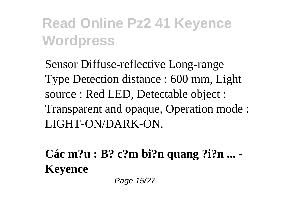Sensor Diffuse-reflective Long-range Type Detection distance : 600 mm, Light source : Red LED, Detectable object : Transparent and opaque, Operation mode : LIGHT-ON/DARK-ON.

**Các m?u : B? c?m bi?n quang ?i?n ... - Keyence**

Page 15/27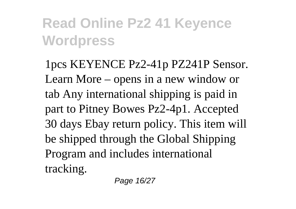1pcs KEYENCE Pz2-41p PZ241P Sensor. Learn More – opens in a new window or tab Any international shipping is paid in part to Pitney Bowes Pz2-4p1. Accepted 30 days Ebay return policy. This item will be shipped through the Global Shipping Program and includes international tracking.

Page 16/27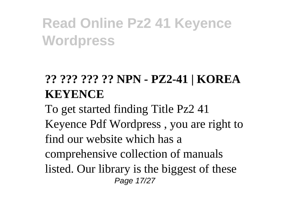#### **?? ??? ??? ?? NPN - PZ2-41 | KOREA KEYENCE**

To get started finding Title Pz2 41 Keyence Pdf Wordpress , you are right to find our website which has a comprehensive collection of manuals listed. Our library is the biggest of these Page 17/27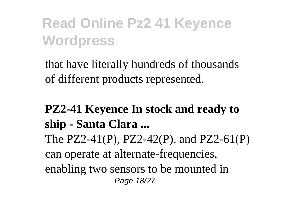that have literally hundreds of thousands of different products represented.

#### **PZ2-41 Keyence In stock and ready to ship - Santa Clara ...** The PZ2-41(P), PZ2-42(P), and PZ2-61(P) can operate at alternate-frequencies, enabling two sensors to be mounted in Page 18/27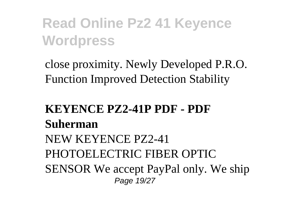close proximity. Newly Developed P.R.O. Function Improved Detection Stability

#### **KEYENCE PZ2-41P PDF - PDF Suherman** NEW KEYENCE PZ2-41 PHOTOELECTRIC FIBER OPTIC SENSOR We accept PayPal only. We ship Page 19/27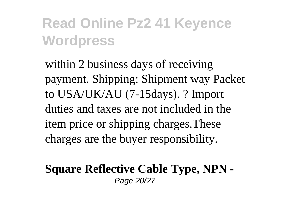within 2 business days of receiving payment. Shipping: Shipment way Packet to USA/UK/AU (7-15days). ? Import duties and taxes are not included in the item price or shipping charges.These charges are the buyer responsibility.

#### **Square Reflective Cable Type, NPN -** Page 20/27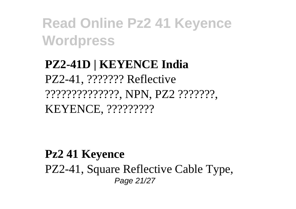#### **PZ2-41D | KEYENCE India** PZ2-41, ??????? Reflective ??????????????, NPN, PZ2 ???????, KEYENCE, ?????????

**Pz2 41 Keyence**  PZ2-41, Square Reflective Cable Type, Page 21/27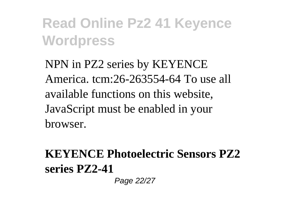NPN in PZ2 series by KEYENCE America. tcm:26-263554-64 To use all available functions on this website, JavaScript must be enabled in your browser.

#### **KEYENCE Photoelectric Sensors PZ2 series PZ2-41**

Page 22/27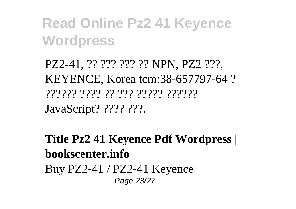PZ2-41, ?? ??? ??? ?? NPN, PZ2 ???, KEYENCE, Korea tcm:38-657797-64 ? ?????? ???? ?? ??? ????? ?????? JavaScript? ???? ???.

**Title Pz2 41 Keyence Pdf Wordpress | bookscenter.info** Buy PZ2-41 / PZ2-41 Keyence Page 23/27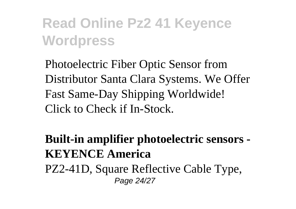Photoelectric Fiber Optic Sensor from Distributor Santa Clara Systems. We Offer Fast Same-Day Shipping Worldwide! Click to Check if In-Stock.

**Built-in amplifier photoelectric sensors - KEYENCE America** PZ2-41D, Square Reflective Cable Type, Page 24/27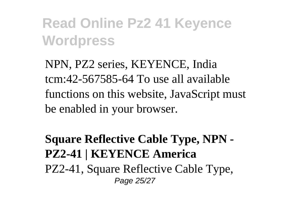NPN, PZ2 series, KEYENCE, India tcm:42-567585-64 To use all available functions on this website, JavaScript must be enabled in your browser.

#### **Square Reflective Cable Type, NPN - PZ2-41 | KEYENCE America** PZ2-41, Square Reflective Cable Type, Page 25/27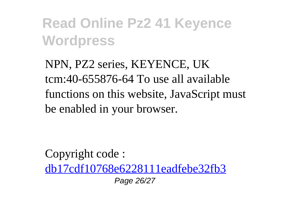NPN, PZ2 series, KEYENCE, UK tcm:40-655876-64 To use all available functions on this website, JavaScript must be enabled in your browser.

Copyright code : [db17cdf10768e6228111eadfebe32fb3](/search-book/db17cdf10768e6228111eadfebe32fb3) Page 26/27